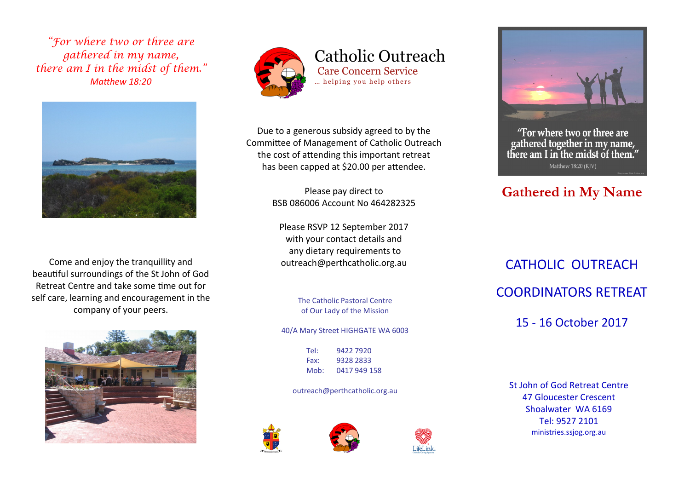*"For where two or three are gathered in my name, there am I in the midst of them." Matthew 18:20*



Come and enjoy the tranquillity and beautiful surroundings of the St John of God Retreat Centre and take some time out for self care, learning and encouragement in the company of your peers.





Catholic Outreach Care Concern Service ... helping you help others

Due to a generous subsidy agreed to by the Committee of Management of Catholic Outreach the cost of attending this important retreat has been capped at \$20.00 per attendee.

> Please pay direct to BSB 086006 Account No 464282325

Please RSVP 12 September 2017 with your contact details and any dietary requirements to outreach@perthcatholic.org.au

> The Catholic Pastoral Centre of Our Lady of the Mission

40/A Mary Street HIGHGATE WA 6003

Tel: 9422 7920 Fax: 9328 2833 Mob: 0417 949 158

outreach@perthcatholic.org.au









"For where two or three are gathered together in my name, there am I in the midst of them." Matthew 18:20 (KIV)

## **Gathered in My Name**

CATHOLIC OUTREACH COORDINATORS RETREAT 15 - 16 October 2017

St John of God Retreat Centre 47 Gloucester Crescent Shoalwater WA 6169 Tel: 9527 2101 ministries.ssjog.org.au